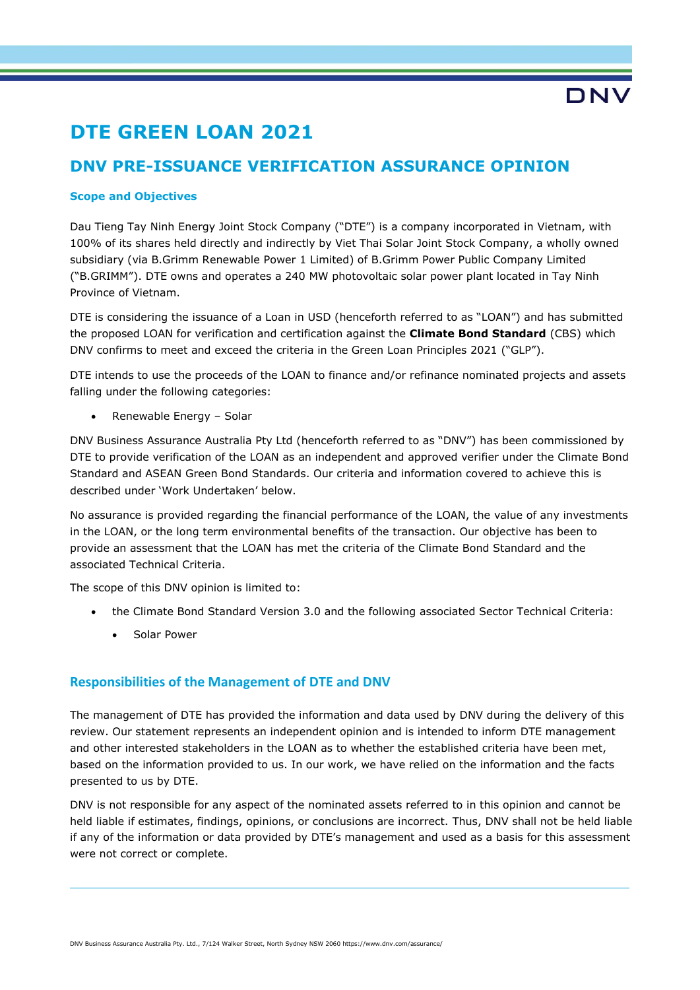# **DTE GREEN LOAN 2021**

## **DNV PRE-ISSUANCE VERIFICATION ASSURANCE OPINION**

### **Scope and Objectives**

Dau Tieng Tay Ninh Energy Joint Stock Company ("DTE") is a company incorporated in Vietnam, with 100% of its shares held directly and indirectly by Viet Thai Solar Joint Stock Company, a wholly owned subsidiary (via B.Grimm Renewable Power 1 Limited) of B.Grimm Power Public Company Limited ("B.GRIMM"). DTE owns and operates a 240 MW photovoltaic solar power plant located in Tay Ninh Province of Vietnam.

DTE is considering the issuance of a Loan in USD (henceforth referred to as "LOAN") and has submitted the proposed LOAN for verification and certification against the **Climate Bond Standard** (CBS) which DNV confirms to meet and exceed the criteria in the Green Loan Principles 2021 ("GLP").

DTE intends to use the proceeds of the LOAN to finance and/or refinance nominated projects and assets falling under the following categories:

• Renewable Energy – Solar

DNV Business Assurance Australia Pty Ltd (henceforth referred to as "DNV") has been commissioned by DTE to provide verification of the LOAN as an independent and approved verifier under the Climate Bond Standard and ASEAN Green Bond Standards. Our criteria and information covered to achieve this is described under 'Work Undertaken' below.

No assurance is provided regarding the financial performance of the LOAN, the value of any investments in the LOAN, or the long term environmental benefits of the transaction. Our objective has been to provide an assessment that the LOAN has met the criteria of the Climate Bond Standard and the associated Technical Criteria.

The scope of this DNV opinion is limited to:

- the Climate Bond Standard Version 3.0 and the following associated Sector Technical Criteria:
	- Solar Power

### **Responsibilities of the Management of DTE and DNV**

The management of DTE has provided the information and data used by DNV during the delivery of this review. Our statement represents an independent opinion and is intended to inform DTE management and other interested stakeholders in the LOAN as to whether the established criteria have been met, based on the information provided to us. In our work, we have relied on the information and the facts presented to us by DTE.

DNV is not responsible for any aspect of the nominated assets referred to in this opinion and cannot be held liable if estimates, findings, opinions, or conclusions are incorrect. Thus, DNV shall not be held liable if any of the information or data provided by DTE's management and used as a basis for this assessment were not correct or complete.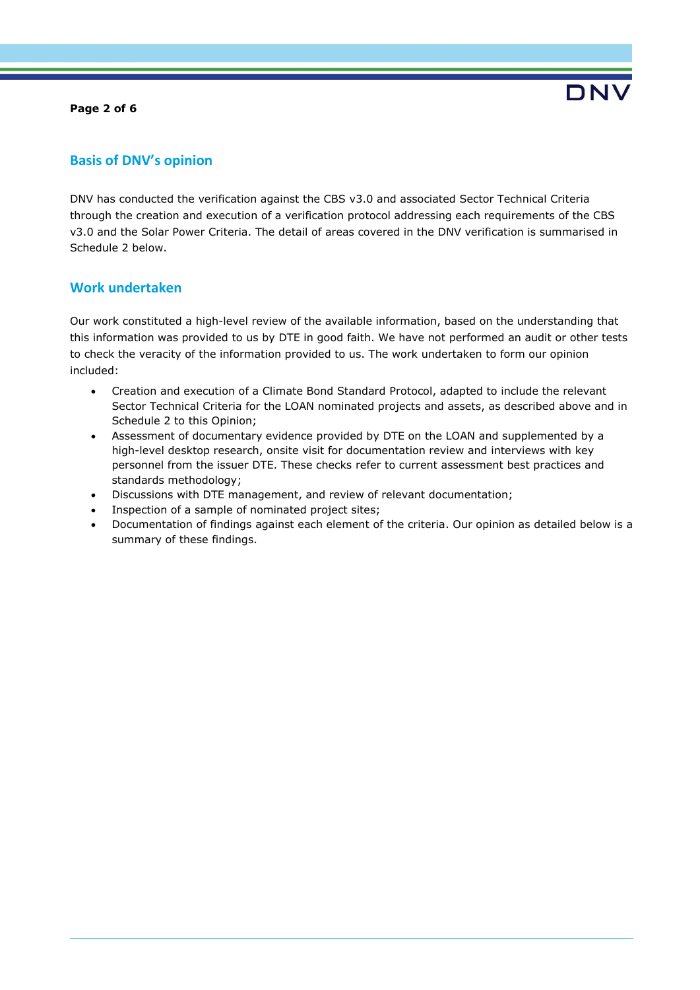#### **Page 2 of 6**



### **Basis of DNV's opinion**

DNV has conducted the verification against the CBS v3.0 and associated Sector Technical Criteria through the creation and execution of a verification protocol addressing each requirements of the CBS v3.0 and the Solar Power Criteria. The detail of areas covered in the DNV verification is summarised in Schedule 2 below.

### **Work undertaken**

Our work constituted a high-level review of the available information, based on the understanding that this information was provided to us by DTE in good faith. We have not performed an audit or other tests to check the veracity of the information provided to us. The work undertaken to form our opinion included:

- Creation and execution of a Climate Bond Standard Protocol, adapted to include the relevant Sector Technical Criteria for the LOAN nominated projects and assets, as described above and in Schedule 2 to this Opinion;
- Assessment of documentary evidence provided by DTE on the LOAN and supplemented by a high-level desktop research, onsite visit for documentation review and interviews with key personnel from the issuer DTE. These checks refer to current assessment best practices and standards methodology;
- Discussions with DTE management, and review of relevant documentation;
- Inspection of a sample of nominated project sites;
- Documentation of findings against each element of the criteria. Our opinion as detailed below is a summary of these findings.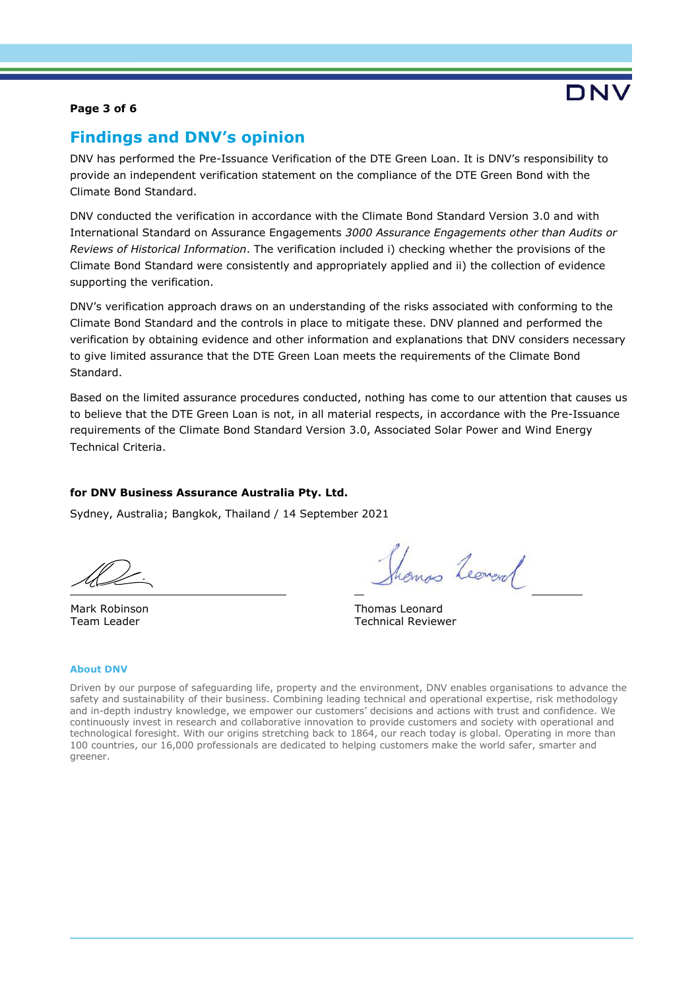### **Page 3 of 6**

### **Findings and DNV's opinion**

DNV has performed the Pre-Issuance Verification of the DTE Green Loan. It is DNV's responsibility to provide an independent verification statement on the compliance of the DTE Green Bond with the Climate Bond Standard.

DNV conducted the verification in accordance with the Climate Bond Standard Version 3.0 and with International Standard on Assurance Engagements *3000 Assurance Engagements other than Audits or Reviews of Historical Information*. The verification included i) checking whether the provisions of the Climate Bond Standard were consistently and appropriately applied and ii) the collection of evidence supporting the verification.

DNV's verification approach draws on an understanding of the risks associated with conforming to the Climate Bond Standard and the controls in place to mitigate these. DNV planned and performed the verification by obtaining evidence and other information and explanations that DNV considers necessary to give limited assurance that the DTE Green Loan meets the requirements of the Climate Bond Standard.

Based on the limited assurance procedures conducted, nothing has come to our attention that causes us to believe that the DTE Green Loan is not, in all material respects, in accordance with the Pre-Issuance requirements of the Climate Bond Standard Version 3.0, Associated Solar Power and Wind Energy Technical Criteria.

### **for DNV Business Assurance Australia Pty. Ltd.**

Sydney, Australia; Bangkok, Thailand / 14 September 2021

Mark Robinson Team Leader

mas Leoneral

DN'

Thomas Leonard Technical Reviewer

#### **About DNV**

Driven by our purpose of safeguarding life, property and the environment, DNV enables organisations to advance the safety and sustainability of their business. Combining leading technical and operational expertise, risk methodology and in-depth industry knowledge, we empower our customers' decisions and actions with trust and confidence. We continuously invest in research and collaborative innovation to provide customers and society with operational and technological foresight. With our origins stretching back to 1864, our reach today is global. Operating in more than 100 countries, our 16,000 professionals are dedicated to helping customers make the world safer, smarter and greener.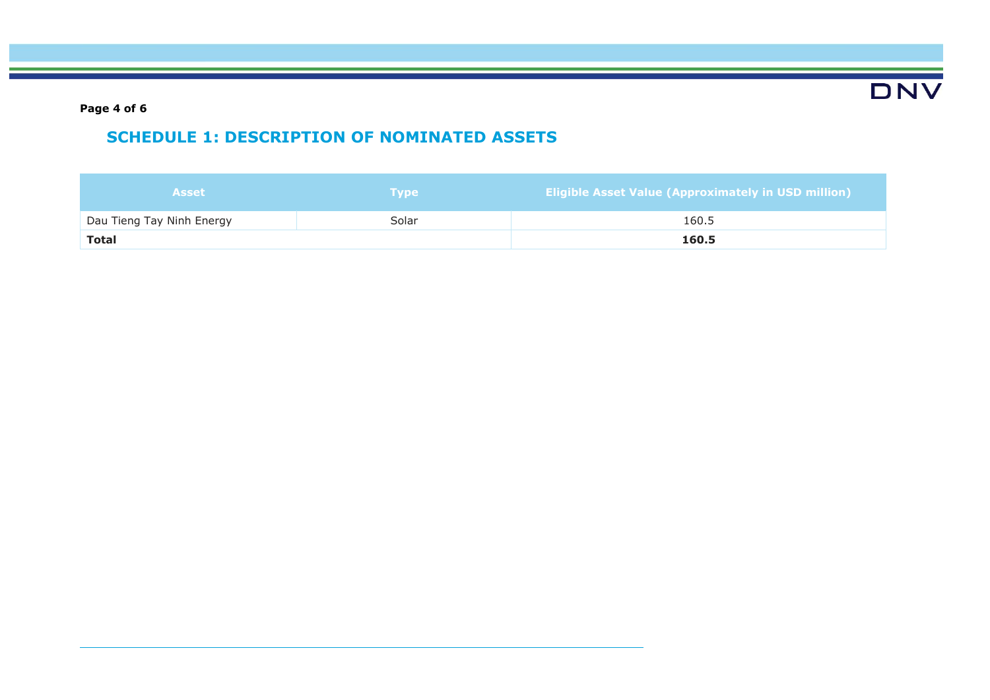**DNV** 

**Page 4 of 6**

## **SCHEDULE 1: DESCRIPTION OF NOMINATED ASSETS**

| <b>Asset</b>              | <b>Type</b> | <b>Eligible Asset Value (Approximately in USD million)</b> |
|---------------------------|-------------|------------------------------------------------------------|
| Dau Tieng Tay Ninh Energy | Solar       | 160.5                                                      |
| <b>Total</b>              |             | 160.5                                                      |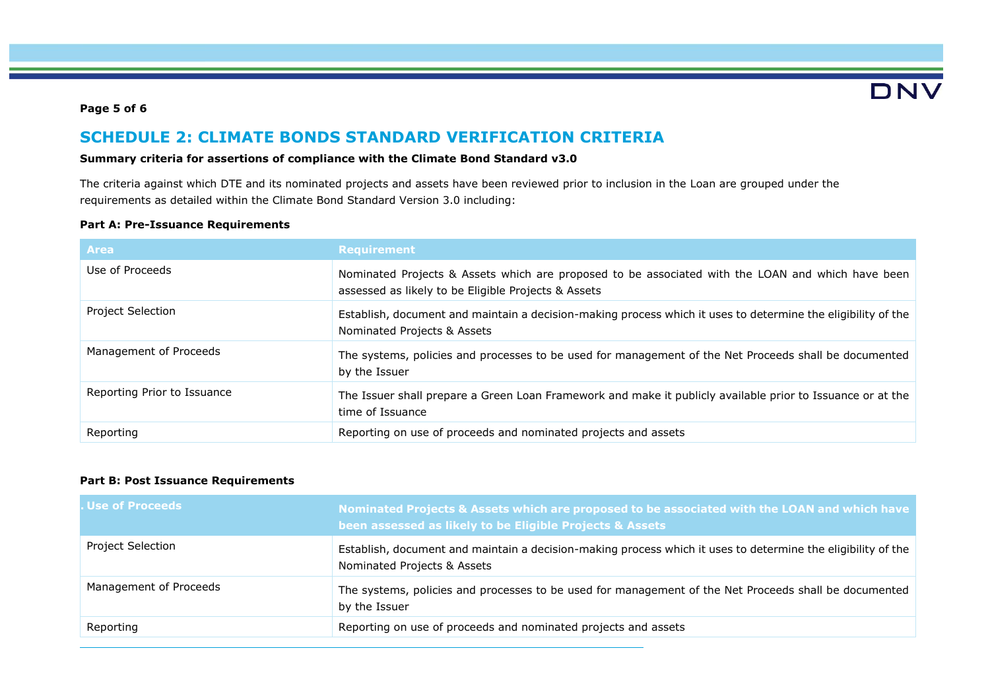# DNV

### **Page 5 of 6**

## **SCHEDULE 2: CLIMATE BONDS STANDARD VERIFICATION CRITERIA**

### **Summary criteria for assertions of compliance with the Climate Bond Standard v3.0**

The criteria against which DTE and its nominated projects and assets have been reviewed prior to inclusion in the Loan are grouped under the requirements as detailed within the Climate Bond Standard Version 3.0 including:

### **Part A: Pre-Issuance Requirements**

| <b>Area</b>                 | <b>Requirement</b>                                                                                                                                       |
|-----------------------------|----------------------------------------------------------------------------------------------------------------------------------------------------------|
| Use of Proceeds             | Nominated Projects & Assets which are proposed to be associated with the LOAN and which have been<br>assessed as likely to be Eligible Projects & Assets |
| <b>Project Selection</b>    | Establish, document and maintain a decision-making process which it uses to determine the eligibility of the<br>Nominated Projects & Assets              |
| Management of Proceeds      | The systems, policies and processes to be used for management of the Net Proceeds shall be documented<br>by the Issuer                                   |
| Reporting Prior to Issuance | The Issuer shall prepare a Green Loan Framework and make it publicly available prior to Issuance or at the<br>time of Issuance                           |
| Reporting                   | Reporting on use of proceeds and nominated projects and assets                                                                                           |

### **Part B: Post Issuance Requirements**

| <b>. Use of Proceeds</b> | Nominated Projects & Assets which are proposed to be associated with the LOAN and which have<br>been assessed as likely to be Eligible Projects & Assets |
|--------------------------|----------------------------------------------------------------------------------------------------------------------------------------------------------|
| <b>Project Selection</b> | Establish, document and maintain a decision-making process which it uses to determine the eligibility of the<br>Nominated Projects & Assets              |
| Management of Proceeds   | The systems, policies and processes to be used for management of the Net Proceeds shall be documented<br>by the Issuer                                   |
| Reporting                | Reporting on use of proceeds and nominated projects and assets                                                                                           |